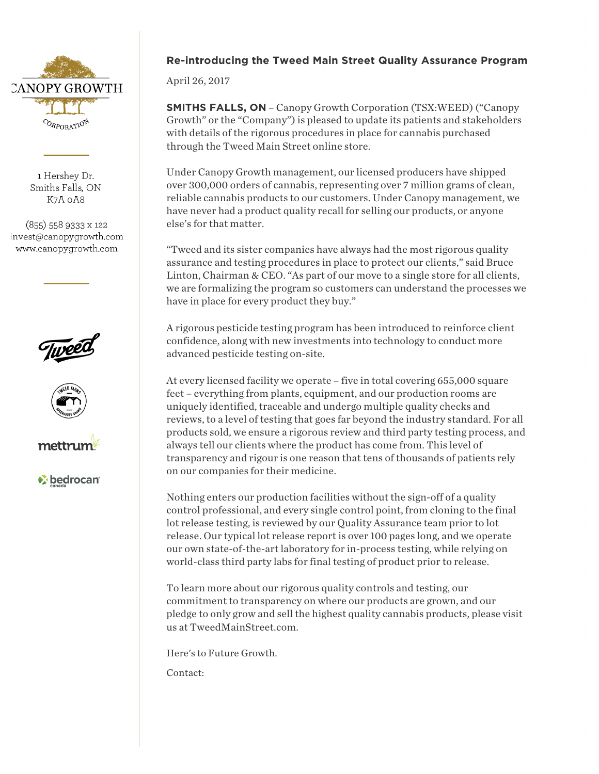

1 Hershev Dr. Smiths Falls, ON K7A 0A8

(855) 558 9333 x 122 invest@canopygrowth.com www.canopygrowth.com







*V* bedrocan

## **Re-introducing the Tweed Main Street Quality Assurance Program**

April 26, 2017

**SMITHS FALLS, ON** – Canopy Growth Corporation (TSX:WEED) ("Canopy Growth" or the "Company") is pleased to update its patients and stakeholders with details of the rigorous procedures in place for cannabis purchased through the Tweed Main Street online store.

Under Canopy Growth management, our licensed producers have shipped over 300,000 orders of cannabis, representing over 7 million grams of clean, reliable cannabis products to our customers. Under Canopy management, we have never had a product quality recall for selling our products, or anyone else's for that matter.

"Tweed and its sister companies have always had the most rigorous quality assurance and testing procedures in place to protect our clients," said Bruce Linton, Chairman & CEO. "As part of our move to a single store for all clients, we are formalizing the program so customers can understand the processes we have in place for every product they buy."

A rigorous pesticide testing program has been introduced to reinforce client confidence, along with new investments into technology to conduct more advanced pesticide testing on-site.

At every licensed facility we operate – five in total covering 655,000 square feet – everything from plants, equipment, and our production rooms are uniquely identified, traceable and undergo multiple quality checks and reviews, to a level of testing that goes far beyond the industry standard. For all products sold, we ensure a rigorous review and third party testing process, and always tell our clients where the product has come from. This level of transparency and rigour is one reason that tens of thousands of patients rely on our companies for their medicine.

Nothing enters our production facilities without the sign-off of a quality control professional, and every single control point, from cloning to the final lot release testing, is reviewed by our Quality Assurance team prior to lot release. Our typical lot release report is over 100 pages long, and we operate our own state-of-the-art laboratory for in-process testing, while relying on world-class third party labs for final testing of product prior to release.

To learn more about our rigorous quality controls and testing, our commitment to transparency on where our products are grown, and our pledge to only grow and sell the highest quality cannabis products, please visit us at TweedMainStreet.com.

Here's to Future Growth.

Contact: